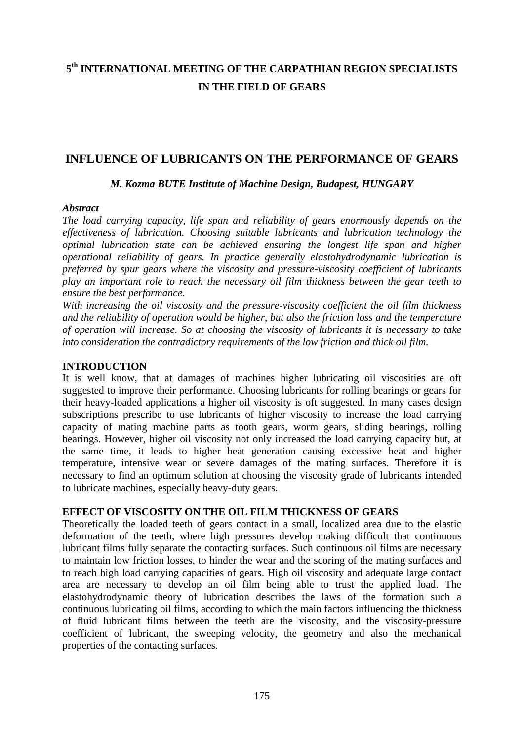# **5th INTERNATIONAL MEETING OF THE CARPATHIAN REGION SPECIALISTS IN THE FIELD OF GEARS**

# **INFLUENCE OF LUBRICANTS ON THE PERFORMANCE OF GEARS**

#### *M. Kozma BUTE Institute of Machine Design, Budapest, HUNGARY*

#### *Abstract*

*The load carrying capacity, life span and reliability of gears enormously depends on the effectiveness of lubrication. Choosing suitable lubricants and lubrication technology the optimal lubrication state can be achieved ensuring the longest life span and higher operational reliability of gears. In practice generally elastohydrodynamic lubrication is preferred by spur gears where the viscosity and pressure-viscosity coefficient of lubricants play an important role to reach the necessary oil film thickness between the gear teeth to ensure the best performance.* 

*With increasing the oil viscosity and the pressure-viscosity coefficient the oil film thickness and the reliability of operation would be higher, but also the friction loss and the temperature of operation will increase. So at choosing the viscosity of lubricants it is necessary to take into consideration the contradictory requirements of the low friction and thick oil film.* 

### **INTRODUCTION**

It is well know, that at damages of machines higher lubricating oil viscosities are oft suggested to improve their performance. Choosing lubricants for rolling bearings or gears for their heavy-loaded applications a higher oil viscosity is oft suggested. In many cases design subscriptions prescribe to use lubricants of higher viscosity to increase the load carrying capacity of mating machine parts as tooth gears, worm gears, sliding bearings, rolling bearings. However, higher oil viscosity not only increased the load carrying capacity but, at the same time, it leads to higher heat generation causing excessive heat and higher temperature, intensive wear or severe damages of the mating surfaces. Therefore it is necessary to find an optimum solution at choosing the viscosity grade of lubricants intended to lubricate machines, especially heavy-duty gears.

#### **EFFECT OF VISCOSITY ON THE OIL FILM THICKNESS OF GEARS**

Theoretically the loaded teeth of gears contact in a small, localized area due to the elastic deformation of the teeth, where high pressures develop making difficult that continuous lubricant films fully separate the contacting surfaces. Such continuous oil films are necessary to maintain low friction losses, to hinder the wear and the scoring of the mating surfaces and to reach high load carrying capacities of gears. High oil viscosity and adequate large contact area are necessary to develop an oil film being able to trust the applied load. The elastohydrodynamic theory of lubrication describes the laws of the formation such a continuous lubricating oil films, according to which the main factors influencing the thickness of fluid lubricant films between the teeth are the viscosity, and the viscosity-pressure coefficient of lubricant, the sweeping velocity, the geometry and also the mechanical properties of the contacting surfaces.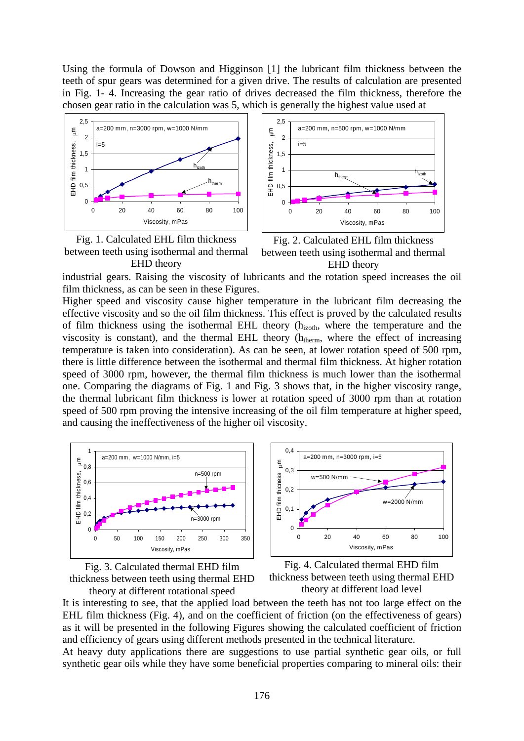Using the formula of Dowson and Higginson [1] the lubricant film thickness between the teeth of spur gears was determined for a given drive. The results of calculation are presented in Fig. 1- 4. Increasing the gear ratio of drives decreased the film thickness, therefore the chosen gear ratio in the calculation was 5, which is generally the highest value used at







Fig. 2. Calculated EHL film thickness between teeth using isothermal and thermal EHD theory

industrial gears. Raising the viscosity of lubricants and the rotation speed increases the oil film thickness, as can be seen in these Figures.

Higher speed and viscosity cause higher temperature in the lubricant film decreasing the effective viscosity and so the oil film thickness. This effect is proved by the calculated results of film thickness using the isothermal EHL theory (hizoth, where the temperature and the viscosity is constant), and the thermal EHL theory  $(h_{therm})$ , where the effect of increasing temperature is taken into consideration). As can be seen, at lower rotation speed of 500 rpm, there is little difference between the isothermal and thermal film thickness. At higher rotation speed of 3000 rpm, however, the thermal film thickness is much lower than the isothermal one. Comparing the diagrams of Fig. 1 and Fig. 3 shows that, in the higher viscosity range, the thermal lubricant film thickness is lower at rotation speed of 3000 rpm than at rotation speed of 500 rpm proving the intensive increasing of the oil film temperature at higher speed, and causing the ineffectiveness of the higher oil viscosity.









It is interesting to see, that the applied load between the teeth has not too large effect on the EHL film thickness (Fig. 4), and on the coefficient of friction (on the effectiveness of gears) as it will be presented in the following Figures showing the calculated coefficient of friction and efficiency of gears using different methods presented in the technical literature.

At heavy duty applications there are suggestions to use partial synthetic gear oils, or full synthetic gear oils while they have some beneficial properties comparing to mineral oils: their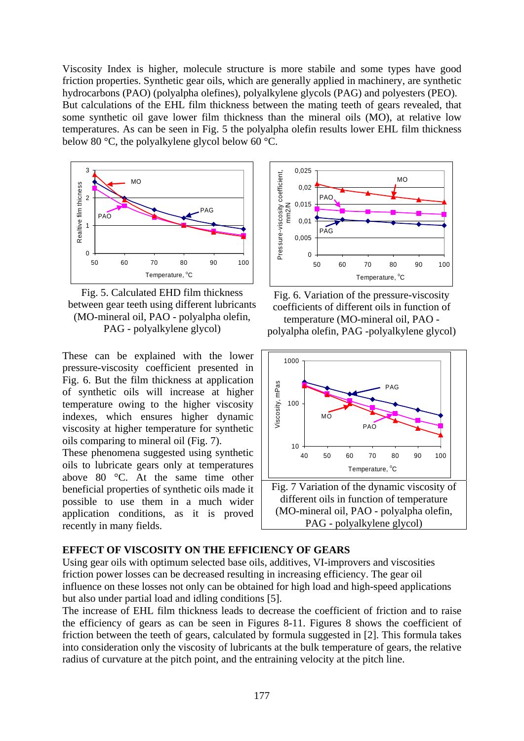Viscosity Index is higher, molecule structure is more stabile and some types have good friction properties. Synthetic gear oils, which are generally applied in machinery, are synthetic hydrocarbons (PAO) (polyalpha olefines), polyalkylene glycols (PAG) and polyesters (PEO). But calculations of the EHL film thickness between the mating teeth of gears revealed, that some synthetic oil gave lower film thickness than the mineral oils (MO), at relative low temperatures. As can be seen in Fig. 5 the polyalpha olefin results lower EHL film thickness below 80 °C, the polyalkylene glycol below 60 °C.



Fig. 5. Calculated EHD film thickness between gear teeth using different lubricants (MO-mineral oil, PAO - polyalpha olefin, PAG - polyalkylene glycol)

These can be explained with the lower pressure-viscosity coefficient presented in Fig. 6. But the film thickness at application of synthetic oils will increase at higher temperature owing to the higher viscosity indexes, which ensures higher dynamic viscosity at higher temperature for synthetic oils comparing to mineral oil (Fig. 7).

These phenomena suggested using synthetic oils to lubricate gears only at temperatures above 80 °C. At the same time other beneficial properties of synthetic oils made it possible to use them in a much wider application conditions, as it is proved recently in many fields.



Fig. 6. Variation of the pressure-viscosity coefficients of different oils in function of temperature (MO-mineral oil, PAO polyalpha olefin, PAG -polyalkylene glycol)





#### **EFFECT OF VISCOSITY ON THE EFFICIENCY OF GEARS**

Using gear oils with optimum selected base oils, additives, VI-improvers and viscosities friction power losses can be decreased resulting in increasing efficiency. The gear oil influence on these losses not only can be obtained for high load and high-speed applications but also under partial load and idling conditions [5].

The increase of EHL film thickness leads to decrease the coefficient of friction and to raise the efficiency of gears as can be seen in Figures 8-11. Figures 8 shows the coefficient of friction between the teeth of gears, calculated by formula suggested in [2]. This formula takes into consideration only the viscosity of lubricants at the bulk temperature of gears, the relative radius of curvature at the pitch point, and the entraining velocity at the pitch line.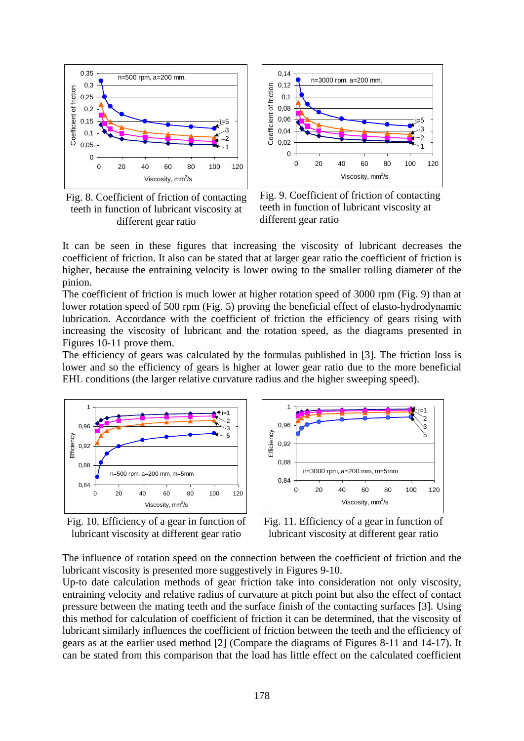

Fig. 8. Coefficient of friction of contacting teeth in function of lubricant viscosity at different gear ratio



Fig. 9. Coefficient of friction of contacting teeth in function of lubricant viscosity at different gear ratio

It can be seen in these figures that increasing the viscosity of lubricant decreases the coefficient of friction. It also can be stated that at larger gear ratio the coefficient of friction is higher, because the entraining velocity is lower owing to the smaller rolling diameter of the pinion.

The coefficient of friction is much lower at higher rotation speed of 3000 rpm (Fig. 9) than at lower rotation speed of 500 rpm (Fig. 5) proving the beneficial effect of elasto-hydrodynamic lubrication. Accordance with the coefficient of friction the efficiency of gears rising with increasing the viscosity of lubricant and the rotation speed, as the diagrams presented in Figures 10-11 prove them.

The efficiency of gears was calculated by the formulas published in [3]. The friction loss is lower and so the efficiency of gears is higher at lower gear ratio due to the more beneficial EHL conditions (the larger relative curvature radius and the higher sweeping speed).







Fig. 11. Efficiency of a gear in function of lubricant viscosity at different gear ratio

The influence of rotation speed on the connection between the coefficient of friction and the lubricant viscosity is presented more suggestively in Figures 9-10.

Up-to date calculation methods of gear friction take into consideration not only viscosity, entraining velocity and relative radius of curvature at pitch point but also the effect of contact pressure between the mating teeth and the surface finish of the contacting surfaces [3]. Using this method for calculation of coefficient of friction it can be determined, that the viscosity of lubricant similarly influences the coefficient of friction between the teeth and the efficiency of gears as at the earlier used method [2] (Compare the diagrams of Figures 8-11 and 14-17). It can be stated from this comparison that the load has little effect on the calculated coefficient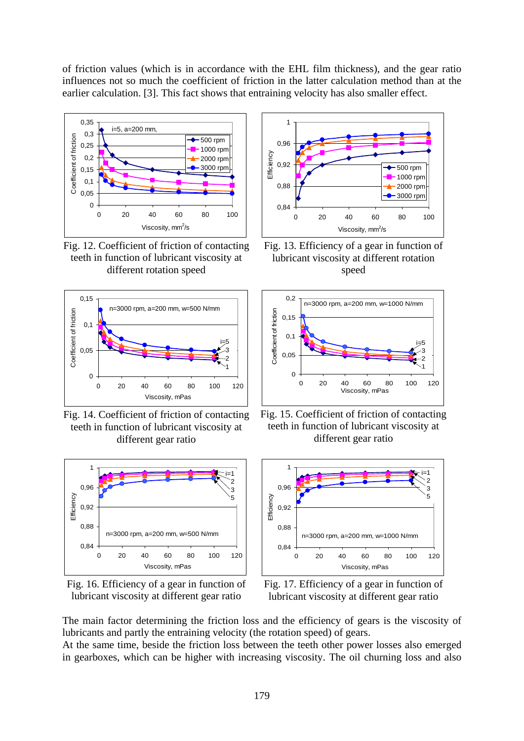of friction values (which is in accordance with the EHL film thickness), and the gear ratio influences not so much the coefficient of friction in the latter calculation method than at the earlier calculation. [3]. This fact shows that entraining velocity has also smaller effect.



Fig. 12. Coefficient of friction of contacting teeth in function of lubricant viscosity at different rotation speed



Fig. 14. Coefficient of friction of contacting teeth in function of lubricant viscosity at different gear ratio



Fig. 16. Efficiency of a gear in function of lubricant viscosity at different gear ratio



Fig. 13. Efficiency of a gear in function of lubricant viscosity at different rotation speed



Fig. 15. Coefficient of friction of contacting teeth in function of lubricant viscosity at different gear ratio



Fig. 17. Efficiency of a gear in function of lubricant viscosity at different gear ratio

The main factor determining the friction loss and the efficiency of gears is the viscosity of lubricants and partly the entraining velocity (the rotation speed) of gears.

At the same time, beside the friction loss between the teeth other power losses also emerged in gearboxes, which can be higher with increasing viscosity. The oil churning loss and also